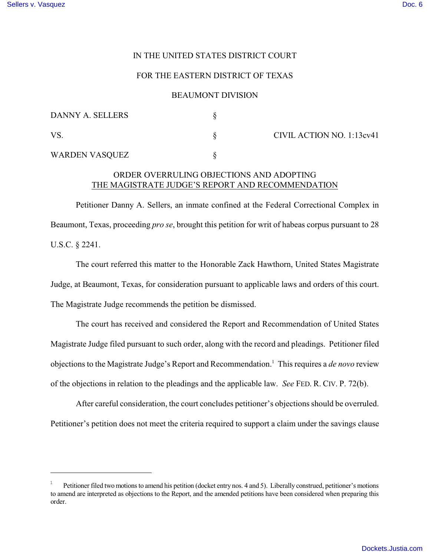## IN THE UNITED STATES DISTRICT COURT

#### FOR THE EASTERN DISTRICT OF TEXAS

### BEAUMONT DIVISION

| DANNY A. SELLERS |                           |
|------------------|---------------------------|
| <b>VS</b>        | CIVIL ACTION NO. 1:13cv41 |
| WARDEN VASQUEZ   |                           |

# ORDER OVERRULING OBJECTIONS AND ADOPTING THE MAGISTRATE JUDGE'S REPORT AND RECOMMENDATION

Petitioner Danny A. Sellers, an inmate confined at the Federal Correctional Complex in Beaumont, Texas, proceeding *pro se*, brought this petition for writ of habeas corpus pursuant to 28 U.S.C. § 2241.

The court referred this matter to the Honorable Zack Hawthorn, United States Magistrate Judge, at Beaumont, Texas, for consideration pursuant to applicable laws and orders of this court. The Magistrate Judge recommends the petition be dismissed.

The court has received and considered the Report and Recommendation of United States Magistrate Judge filed pursuant to such order, along with the record and pleadings. Petitioner filed objections to the Magistrate Judge's Report and Recommendation.<sup>1</sup> This requires a *de novo* review of the objections in relation to the pleadings and the applicable law. *See* FED. R. CIV. P. 72(b).

After careful consideration, the court concludes petitioner's objections should be overruled. Petitioner's petition does not meet the criteria required to support a claim under the savings clause

Petitioner filed two motions to amend his petition (docket entry nos. 4 and 5). Liberally construed, petitioner's motions 1 to amend are interpreted as objections to the Report, and the amended petitions have been considered when preparing this order.